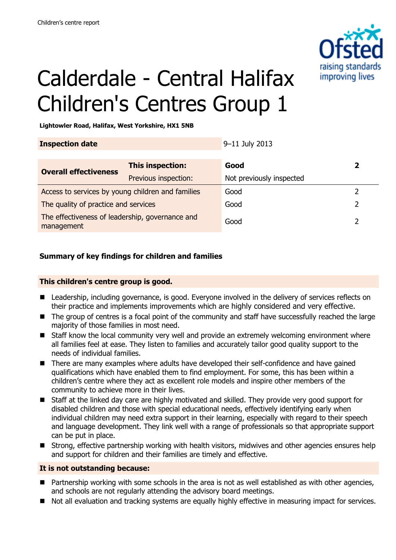

# Calderdale - Central Halifax Children's Centres Group 1

**Lightowler Road, Halifax, West Yorkshire, HX1 5NB**

| <b>Inspection date</b>                                        |                         | 9-11 July 2013           |   |
|---------------------------------------------------------------|-------------------------|--------------------------|---|
|                                                               |                         |                          |   |
| <b>Overall effectiveness</b>                                  | <b>This inspection:</b> | Good                     | 2 |
|                                                               | Previous inspection:    | Not previously inspected |   |
| Access to services by young children and families             |                         | Good                     |   |
| The quality of practice and services                          |                         | Good                     |   |
| The effectiveness of leadership, governance and<br>management |                         | Good                     |   |

# **Summary of key findings for children and families**

### **This children's centre group is good.**

- Leadership, including governance, is good. Everyone involved in the delivery of services reflects on their practice and implements improvements which are highly considered and very effective.
- The group of centres is a focal point of the community and staff have successfully reached the large majority of those families in most need.
- Staff know the local community very well and provide an extremely welcoming environment where all families feel at ease. They listen to families and accurately tailor good quality support to the needs of individual families.
- There are many examples where adults have developed their self-confidence and have gained qualifications which have enabled them to find employment. For some, this has been within a children's centre where they act as excellent role models and inspire other members of the community to achieve more in their lives.
- Staff at the linked day care are highly motivated and skilled. They provide very good support for disabled children and those with special educational needs, effectively identifying early when individual children may need extra support in their learning, especially with regard to their speech and language development. They link well with a range of professionals so that appropriate support can be put in place.
- Strong, effective partnership working with health visitors, midwives and other agencies ensures help and support for children and their families are timely and effective.

#### **It is not outstanding because:**

- Partnership working with some schools in the area is not as well established as with other agencies, and schools are not regularly attending the advisory board meetings.
- Not all evaluation and tracking systems are equally highly effective in measuring impact for services.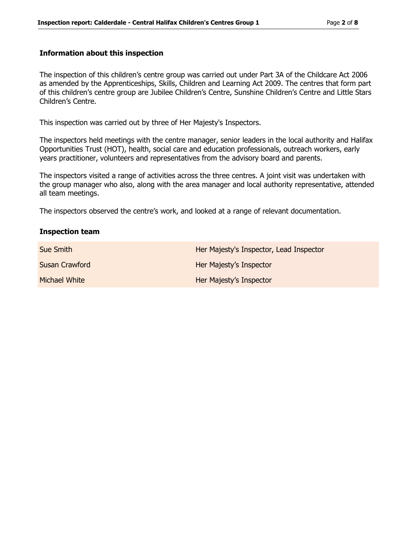#### **Information about this inspection**

The inspection of this children's centre group was carried out under Part 3A of the Childcare Act 2006 as amended by the Apprenticeships, Skills, Children and Learning Act 2009. The centres that form part of this children's centre group are Jubilee Children's Centre, Sunshine Children's Centre and Little Stars Children's Centre.

This inspection was carried out by three of Her Majesty's Inspectors.

The inspectors held meetings with the centre manager, senior leaders in the local authority and Halifax Opportunities Trust (HOT), health, social care and education professionals, outreach workers, early years practitioner, volunteers and representatives from the advisory board and parents.

The inspectors visited a range of activities across the three centres. A joint visit was undertaken with the group manager who also, along with the area manager and local authority representative, attended all team meetings.

The inspectors observed the centre's work, and looked at a range of relevant documentation.

#### **Inspection team**

| Sue Smith      | Her Majesty's Inspector, Lead Inspector |
|----------------|-----------------------------------------|
| Susan Crawford | Her Majesty's Inspector                 |
| Michael White  | Her Majesty's Inspector                 |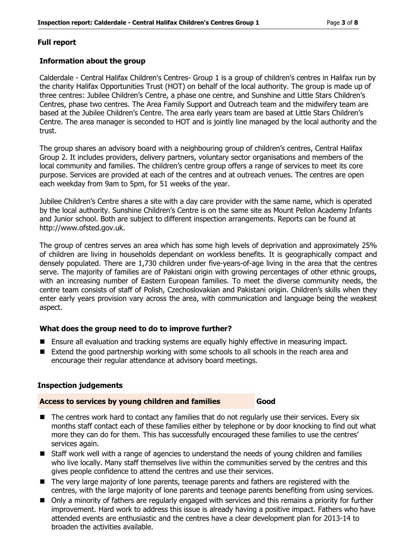#### **Full report**

#### **Information about the group**

Calderdale - Central Halifax Children's Centres- Group 1 is a group of children's centres in Halifax run by the charity Halifax Opportunities Trust (HOT) on behalf of the local authority. The group is made up of three centres: Jubilee Children's Centre, a phase one centre, and Sunshine and Little Stars Children's Centres, phase two centres. The Area Family Support and Outreach team and the midwifery team are based at the Jubilee Children's Centre. The area early years team are based at Little Stars Children's Centre. The area manager is seconded to HOT and is jointly line managed by the local authority and the trust.

The group shares an advisory board with a neighbouring group of children's centres, Central Halifax Group 2. It includes providers, delivery partners, voluntary sector organisations and members of the local community and families. The children's centre group offers a range of services to meet its core purpose. Services are provided at each of the centres and at outreach venues. The centres are open each weekday from 9am to 5pm, for 51 weeks of the year.

Jubilee Children's Centre shares a site with a day care provider with the same name, which is operated by the local authority. Sunshine Children's Centre is on the same site as Mount Pellon Academy Infants and Junior school. Both are subject to different inspection arrangements. Reports can be found at http://www.ofsted.gov.uk.

The group of centres serves an area which has some high levels of deprivation and approximately 25% of children are living in households dependant on workless benefits. It is geographically compact and densely populated. There are 1,730 children under five-years-of-age living in the area that the centres serve. The majority of families are of Pakistani origin with growing percentages of other ethnic groups, with an increasing number of Eastern European families. To meet the diverse community needs, the centre team consists of staff of Polish, Czechoslovakian and Pakistani origin. Children's skills when they enter early years provision vary across the area, with communication and language being the weakest aspect.

#### **What does the group need to do to improve further?**

- Ensure all evaluation and tracking systems are equally highly effective in measuring impact.
- Extend the good partnership working with some schools to all schools in the reach area and encourage their regular attendance at advisory board meetings.

#### **Inspection judgements**

#### **Access to services by young children and families <b>Good**

- The centres work hard to contact any families that do not regularly use their services. Every six months staff contact each of these families either by telephone or by door knocking to find out what more they can do for them. This has successfully encouraged these families to use the centres' services again.
- Staff work well with a range of agencies to understand the needs of young children and families who live locally. Many staff themselves live within the communities served by the centres and this gives people confidence to attend the centres and use their services.
- The very large majority of lone parents, teenage parents and fathers are registered with the centres, with the large majority of lone parents and teenage parents benefiting from using services.
- Only a minority of fathers are regularly engaged with services and this remains a priority for further improvement. Hard work to address this issue is already having a positive impact. Fathers who have attended events are enthusiastic and the centres have a clear development plan for 2013-14 to broaden the activities available.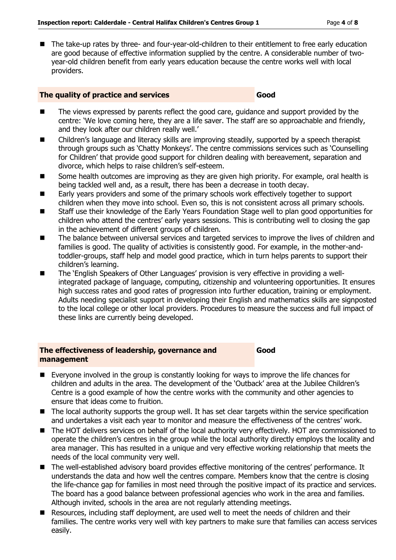■ The take-up rates by three- and four-year-old-children to their entitlement to free early education are good because of effective information supplied by the centre. A considerable number of twoyear-old children benefit from early years education because the centre works well with local providers.

#### **The quality of practice and services Good**

- The views expressed by parents reflect the good care, guidance and support provided by the centre: 'We love coming here, they are a life saver. The staff are so approachable and friendly, and they look after our children really well.'
- Children's language and literacy skills are improving steadily, supported by a speech therapist through groups such as 'Chatty Monkeys'. The centre commissions services such as 'Counselling for Children' that provide good support for children dealing with bereavement, separation and divorce, which helps to raise children's self-esteem.
- Some health outcomes are improving as they are given high priority. For example, oral health is being tackled well and, as a result, there has been a decrease in tooth decay.
- Early years providers and some of the primary schools work effectively together to support children when they move into school. Even so, this is not consistent across all primary schools.
- Staff use their knowledge of the Early Years Foundation Stage well to plan good opportunities for children who attend the centres' early years sessions. This is contributing well to closing the gap in the achievement of different groups of children.
- The balance between universal services and targeted services to improve the lives of children and families is good. The quality of activities is consistently good. For example, in the mother-andtoddler-groups, staff help and model good practice, which in turn helps parents to support their children's learning.
- The 'English Speakers of Other Languages' provision is very effective in providing a wellintegrated package of language, computing, citizenship and volunteering opportunities. It ensures high success rates and good rates of progression into further education, training or employment. Adults needing specialist support in developing their English and mathematics skills are signposted to the local college or other local providers. Procedures to measure the success and full impact of these links are currently being developed.

#### **The effectiveness of leadership, governance and management**

**Good**

- Everyone involved in the group is constantly looking for ways to improve the life chances for children and adults in the area. The development of the 'Outback' area at the Jubilee Children's Centre is a good example of how the centre works with the community and other agencies to ensure that ideas come to fruition.
- The local authority supports the group well. It has set clear targets within the service specification and undertakes a visit each year to monitor and measure the effectiveness of the centres' work.
- The HOT delivers services on behalf of the local authority very effectively. HOT are commissioned to operate the children's centres in the group while the local authority directly employs the locality and area manager. This has resulted in a unique and very effective working relationship that meets the needs of the local community very well.
- The well-established advisory board provides effective monitoring of the centres' performance. It understands the data and how well the centres compare. Members know that the centre is closing the life-chance gap for families in most need through the positive impact of its practice and services. The board has a good balance between professional agencies who work in the area and families. Although invited, schools in the area are not regularly attending meetings.
- Resources, including staff deployment, are used well to meet the needs of children and their families. The centre works very well with key partners to make sure that families can access services easily.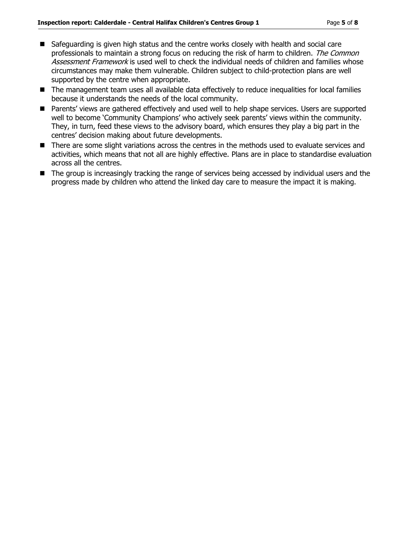- Safeguarding is given high status and the centre works closely with health and social care professionals to maintain a strong focus on reducing the risk of harm to children. The Common Assessment Framework is used well to check the individual needs of children and families whose circumstances may make them vulnerable. Children subject to child-protection plans are well supported by the centre when appropriate.
- The management team uses all available data effectively to reduce inequalities for local families because it understands the needs of the local community.
- Parents' views are gathered effectively and used well to help shape services. Users are supported well to become 'Community Champions' who actively seek parents' views within the community. They, in turn, feed these views to the advisory board, which ensures they play a big part in the centres' decision making about future developments.
- There are some slight variations across the centres in the methods used to evaluate services and activities, which means that not all are highly effective. Plans are in place to standardise evaluation across all the centres.
- The group is increasingly tracking the range of services being accessed by individual users and the progress made by children who attend the linked day care to measure the impact it is making.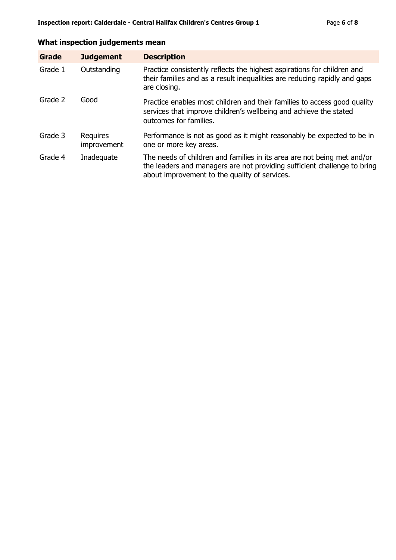# **What inspection judgements mean**

| Grade   | <b>Judgement</b>        | <b>Description</b>                                                                                                                                                                                   |
|---------|-------------------------|------------------------------------------------------------------------------------------------------------------------------------------------------------------------------------------------------|
| Grade 1 | Outstanding             | Practice consistently reflects the highest aspirations for children and<br>their families and as a result inequalities are reducing rapidly and gaps<br>are closing.                                 |
| Grade 2 | Good                    | Practice enables most children and their families to access good quality<br>services that improve children's wellbeing and achieve the stated<br>outcomes for families.                              |
| Grade 3 | Requires<br>improvement | Performance is not as good as it might reasonably be expected to be in<br>one or more key areas.                                                                                                     |
| Grade 4 | Inadequate              | The needs of children and families in its area are not being met and/or<br>the leaders and managers are not providing sufficient challenge to bring<br>about improvement to the quality of services. |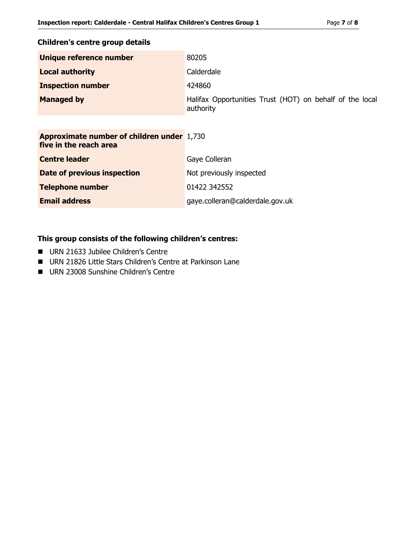# **Children's centre group details**

| Unique reference number                                                     | 80205                                                                 |
|-----------------------------------------------------------------------------|-----------------------------------------------------------------------|
| <b>Local authority</b>                                                      | Calderdale                                                            |
| <b>Inspection number</b>                                                    | 424860                                                                |
| <b>Managed by</b>                                                           | Halifax Opportunities Trust (HOT) on behalf of the local<br>authority |
|                                                                             |                                                                       |
| <b>Approximate number of children under 1,730</b><br>five in the reach area |                                                                       |
| <b>Centre leader</b>                                                        | Gaye Colleran                                                         |
| Date of previous inspection                                                 | Not previously inspected                                              |
| <b>Telephone number</b>                                                     | 01422 342552                                                          |
| <b>Email address</b>                                                        | gaye.colleran@calderdale.gov.uk                                       |

# **This group consists of the following children's centres:**

- URN 21633 Jubilee Children's Centre
- URN 21826 Little Stars Children's Centre at Parkinson Lane
- URN 23008 Sunshine Children's Centre